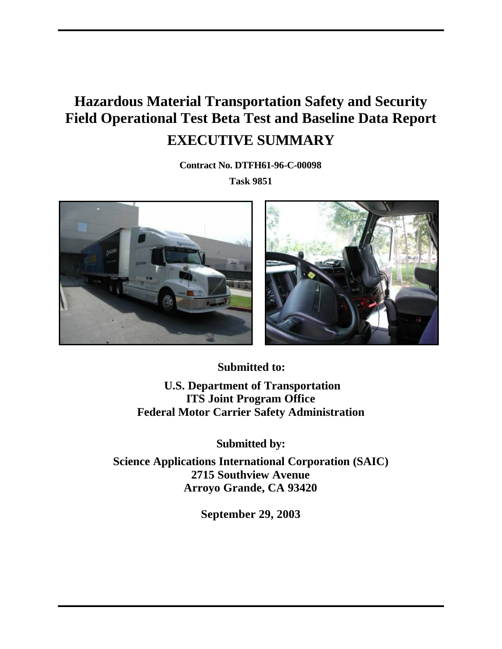# **Hazardous Material Transportation Safety and Security Field Operational Test Beta Test and Baseline Data Report EXECUTIVE SUMMARY**

**Contract No. DTFH61-96-C-00098 Task 9851**





**Submitted to: U.S. Department of Transportation ITS Joint Program Office Federal Motor Carrier Safety Administration**

**Submitted by:**

**Science Applications International Corporation (SAIC) 2715 Southview Avenue Arroyo Grande, CA 93420**

**September 29, 2003**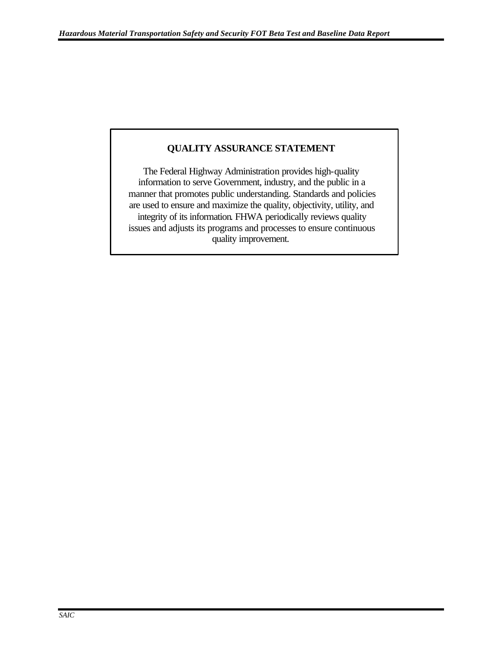## **QUALITY ASSURANCE STATEMENT**

The Federal Highway Administration provides high-quality information to serve Government, industry, and the public in a manner that promotes public understanding. Standards and policies are used to ensure and maximize the quality, objectivity, utility, and integrity of its information. FHWA periodically reviews quality issues and adjusts its programs and processes to ensure continuous quality improvement.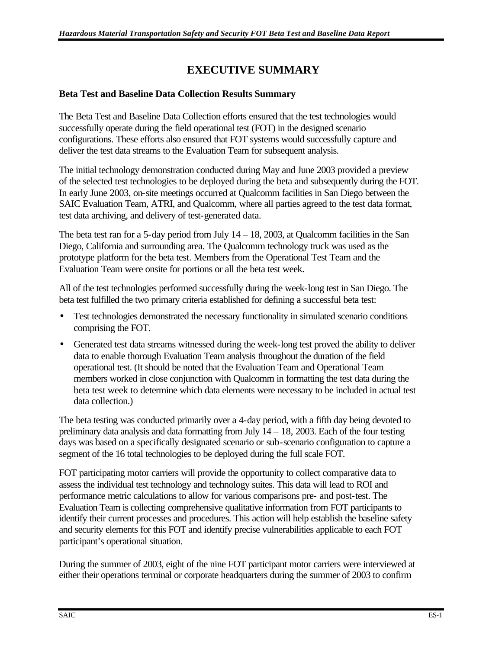# **EXECUTIVE SUMMARY**

#### **Beta Test and Baseline Data Collection Results Summary**

The Beta Test and Baseline Data Collection efforts ensured that the test technologies would successfully operate during the field operational test (FOT) in the designed scenario configurations. These efforts also ensured that FOT systems would successfully capture and deliver the test data streams to the Evaluation Team for subsequent analysis.

The initial technology demonstration conducted during May and June 2003 provided a preview of the selected test technologies to be deployed during the beta and subsequently during the FOT. In early June 2003, on-site meetings occurred at Qualcomm facilities in San Diego between the SAIC Evaluation Team, ATRI, and Qualcomm, where all parties agreed to the test data format, test data archiving, and delivery of test-generated data.

The beta test ran for a 5-day period from July  $14 - 18$ , 2003, at Qualcomm facilities in the San Diego, California and surrounding area. The Qualcomm technology truck was used as the prototype platform for the beta test. Members from the Operational Test Team and the Evaluation Team were onsite for portions or all the beta test week.

All of the test technologies performed successfully during the week-long test in San Diego. The beta test fulfilled the two primary criteria established for defining a successful beta test:

- Test technologies demonstrated the necessary functionality in simulated scenario conditions comprising the FOT.
- Generated test data streams witnessed during the week-long test proved the ability to deliver data to enable thorough Evaluation Team analysis throughout the duration of the field operational test. (It should be noted that the Evaluation Team and Operational Team members worked in close conjunction with Qualcomm in formatting the test data during the beta test week to determine which data elements were necessary to be included in actual test data collection.)

The beta testing was conducted primarily over a 4-day period, with a fifth day being devoted to preliminary data analysis and data formatting from July  $14 - 18$ , 2003. Each of the four testing days was based on a specifically designated scenario or sub-scenario configuration to capture a segment of the 16 total technologies to be deployed during the full scale FOT.

FOT participating motor carriers will provide the opportunity to collect comparative data to assess the individual test technology and technology suites. This data will lead to ROI and performance metric calculations to allow for various comparisons pre- and post-test. The Evaluation Team is collecting comprehensive qualitative information from FOT participants to identify their current processes and procedures. This action will help establish the baseline safety and security elements for this FOT and identify precise vulnerabilities applicable to each FOT participant's operational situation.

During the summer of 2003, eight of the nine FOT participant motor carriers were interviewed at either their operations terminal or corporate headquarters during the summer of 2003 to confirm